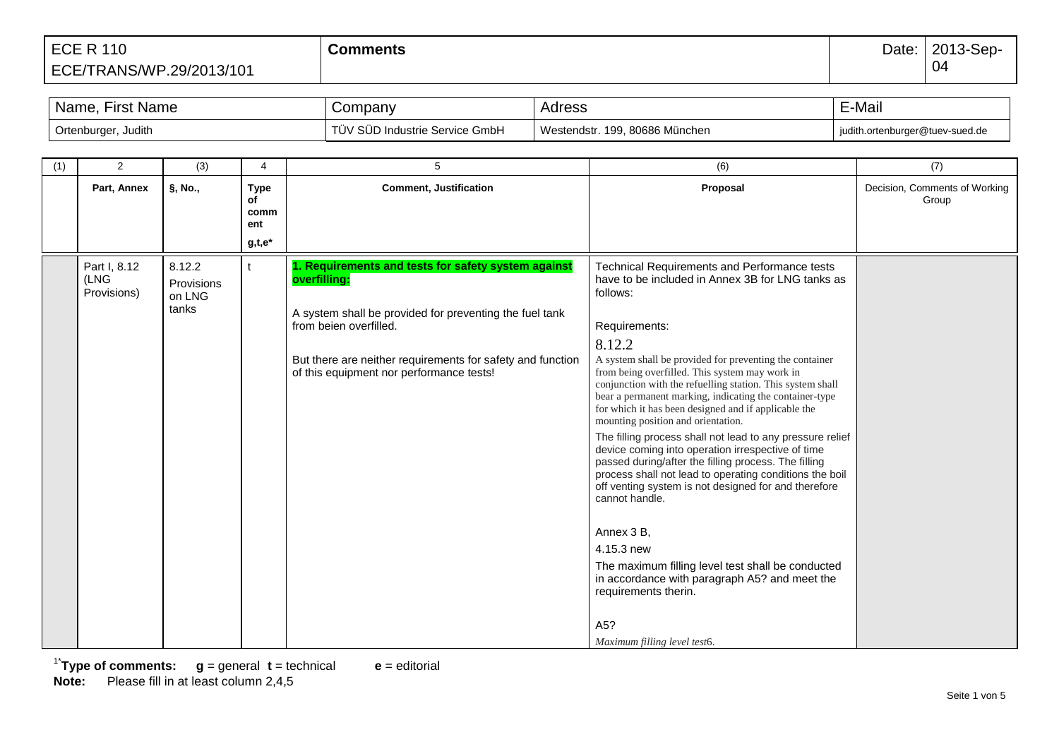| Name,<br>∙irst Name      | Company                              | Adress                         | -Mail                           |
|--------------------------|--------------------------------------|--------------------------------|---------------------------------|
| Ortenburger,<br>, Judith | / SUD Industrie Service GmbH<br>JV ' | Westendstr. 199, 80686 München | judith.ortenburger@tuev-sued.de |

| (1) | 2                                   | (3)                            | 4                                | 5                                                                                                      | (6)                                                                                                                                                                                                                                                                                                                              | (7)                                    |
|-----|-------------------------------------|--------------------------------|----------------------------------|--------------------------------------------------------------------------------------------------------|----------------------------------------------------------------------------------------------------------------------------------------------------------------------------------------------------------------------------------------------------------------------------------------------------------------------------------|----------------------------------------|
|     | Part, Annex                         | §, No.,                        | <b>Type</b><br>of<br>comm<br>ent | <b>Comment, Justification</b>                                                                          | Proposal                                                                                                                                                                                                                                                                                                                         | Decision, Comments of Working<br>Group |
|     |                                     |                                | $g,t,e^*$                        |                                                                                                        |                                                                                                                                                                                                                                                                                                                                  |                                        |
|     | Part I, 8.12<br>(LNG<br>Provisions) | 8.12.2<br>Provisions<br>on LNG | t                                | 1. Requirements and tests for safety system against<br>overfilling:                                    | Technical Requirements and Performance tests<br>have to be included in Annex 3B for LNG tanks as<br>follows:                                                                                                                                                                                                                     |                                        |
|     |                                     | tanks                          |                                  | A system shall be provided for preventing the fuel tank<br>from beien overfilled.                      | Requirements:                                                                                                                                                                                                                                                                                                                    |                                        |
|     |                                     |                                |                                  |                                                                                                        | 8.12.2                                                                                                                                                                                                                                                                                                                           |                                        |
|     |                                     |                                |                                  | But there are neither requirements for safety and function<br>of this equipment nor performance tests! | A system shall be provided for preventing the container<br>from being overfilled. This system may work in<br>conjunction with the refuelling station. This system shall<br>bear a permanent marking, indicating the container-type<br>for which it has been designed and if applicable the<br>mounting position and orientation. |                                        |
|     |                                     |                                |                                  |                                                                                                        | The filling process shall not lead to any pressure relief<br>device coming into operation irrespective of time<br>passed during/after the filling process. The filling<br>process shall not lead to operating conditions the boil<br>off venting system is not designed for and therefore<br>cannot handle.                      |                                        |
|     |                                     |                                |                                  |                                                                                                        | Annex 3 B,                                                                                                                                                                                                                                                                                                                       |                                        |
|     |                                     |                                |                                  |                                                                                                        | 4.15.3 new                                                                                                                                                                                                                                                                                                                       |                                        |
|     |                                     |                                |                                  |                                                                                                        | The maximum filling level test shall be conducted<br>in accordance with paragraph A5? and meet the<br>requirements therin.                                                                                                                                                                                                       |                                        |
|     |                                     |                                |                                  |                                                                                                        | A5?<br>Maximum filling level test6.                                                                                                                                                                                                                                                                                              |                                        |

1\* **Type of comments: g** = general **t** = technical **e** = editorial **Note:** Please fill in at least column 2,4,5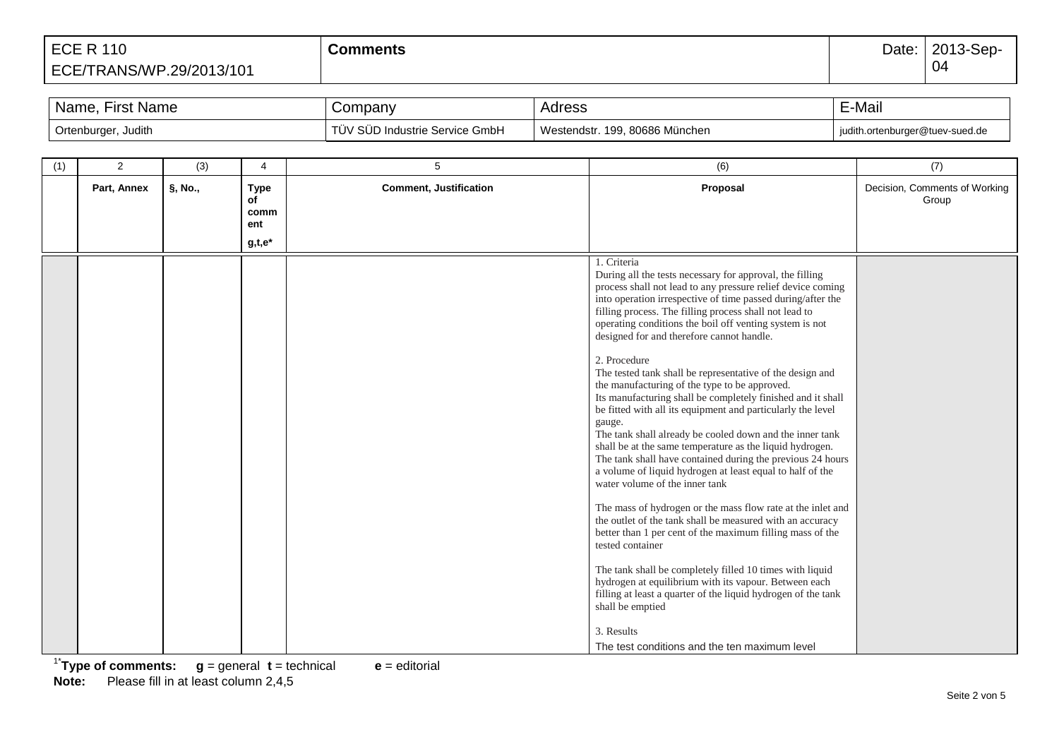| <b>First Name</b><br>Name. | Company                                          | AUIESS                                 | E-Mail                          |
|----------------------------|--------------------------------------------------|----------------------------------------|---------------------------------|
| , Judith<br>Ortenburger,   | $\sim$<br>/ SUD Industrie Service GmbH<br>. UV 1 | . 80686 München<br>Westendstr.<br>199. | iudith.ortenburger@tuev-sued.de |

| (1) | 2           | (3)     | 4                                | 5                             | (6)                                                                                                                                                                                                                                                                                                                                                                                                                                                                                                                                                                                                                                                                                                                                                                                                                                                                                                                                                                                                                                                                                                                                                                                                                                                                                                                                                       | (7)                                    |
|-----|-------------|---------|----------------------------------|-------------------------------|-----------------------------------------------------------------------------------------------------------------------------------------------------------------------------------------------------------------------------------------------------------------------------------------------------------------------------------------------------------------------------------------------------------------------------------------------------------------------------------------------------------------------------------------------------------------------------------------------------------------------------------------------------------------------------------------------------------------------------------------------------------------------------------------------------------------------------------------------------------------------------------------------------------------------------------------------------------------------------------------------------------------------------------------------------------------------------------------------------------------------------------------------------------------------------------------------------------------------------------------------------------------------------------------------------------------------------------------------------------|----------------------------------------|
|     | Part, Annex | §, No., | <b>Type</b><br>of<br>comm<br>ent | <b>Comment, Justification</b> | Proposal                                                                                                                                                                                                                                                                                                                                                                                                                                                                                                                                                                                                                                                                                                                                                                                                                                                                                                                                                                                                                                                                                                                                                                                                                                                                                                                                                  | Decision, Comments of Working<br>Group |
|     |             |         | $g,t,e^*$                        |                               |                                                                                                                                                                                                                                                                                                                                                                                                                                                                                                                                                                                                                                                                                                                                                                                                                                                                                                                                                                                                                                                                                                                                                                                                                                                                                                                                                           |                                        |
|     |             |         |                                  |                               | 1. Criteria<br>During all the tests necessary for approval, the filling<br>process shall not lead to any pressure relief device coming<br>into operation irrespective of time passed during/after the<br>filling process. The filling process shall not lead to<br>operating conditions the boil off venting system is not<br>designed for and therefore cannot handle.<br>2. Procedure<br>The tested tank shall be representative of the design and<br>the manufacturing of the type to be approved.<br>Its manufacturing shall be completely finished and it shall<br>be fitted with all its equipment and particularly the level<br>gauge.<br>The tank shall already be cooled down and the inner tank<br>shall be at the same temperature as the liquid hydrogen.<br>The tank shall have contained during the previous 24 hours<br>a volume of liquid hydrogen at least equal to half of the<br>water volume of the inner tank<br>The mass of hydrogen or the mass flow rate at the inlet and<br>the outlet of the tank shall be measured with an accuracy<br>better than 1 per cent of the maximum filling mass of the<br>tested container<br>The tank shall be completely filled 10 times with liquid<br>hydrogen at equilibrium with its vapour. Between each<br>filling at least a quarter of the liquid hydrogen of the tank<br>shall be emptied |                                        |
|     |             |         |                                  |                               | 3. Results<br>The test conditions and the ten maximum level                                                                                                                                                                                                                                                                                                                                                                                                                                                                                                                                                                                                                                                                                                                                                                                                                                                                                                                                                                                                                                                                                                                                                                                                                                                                                               |                                        |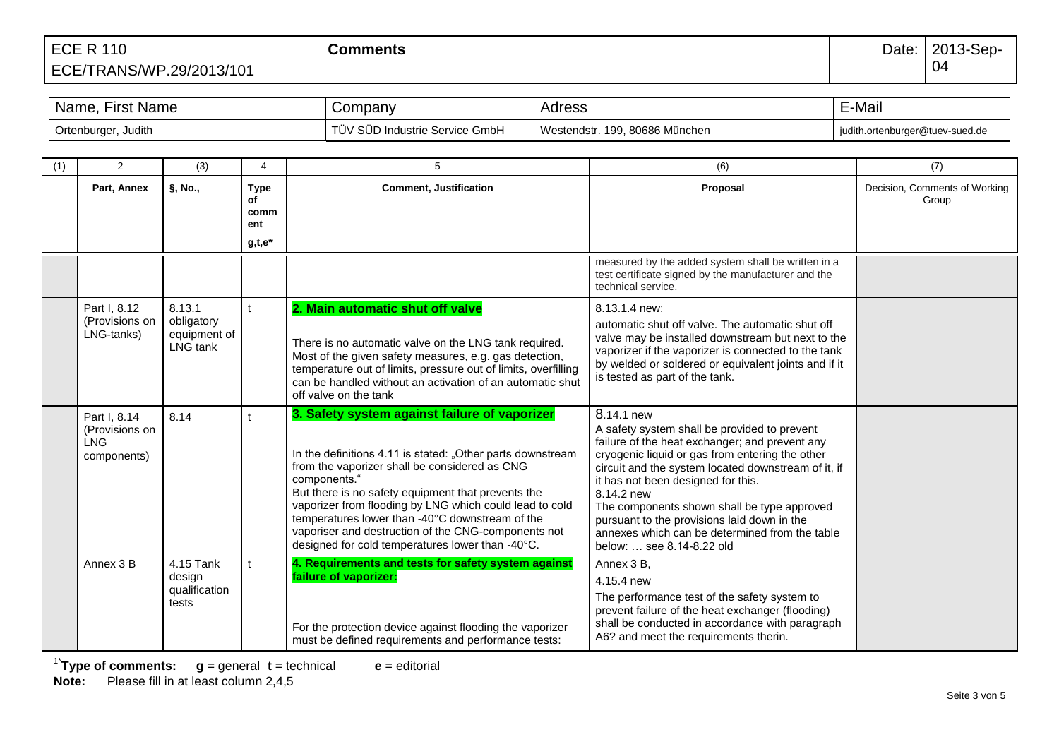| Name,<br>⊦irst Name | Company                        | Adress                         | E-Mail                          |
|---------------------|--------------------------------|--------------------------------|---------------------------------|
| Ortenburger, Judith | TÜV SÜD Industrie Service GmbH | Westendstr. 199. 80686 München | judith.ortenburger@tuev-sued.de |

| (1) | 2                                                    | (3)                                              | $\overline{4}$                   | 5                                                                                                                                                                                                                                                                                                                                                                                                                                                           | (6)                                                                                                                                                                                                                                                                                                                                                                                                                                                     | (7)                                    |
|-----|------------------------------------------------------|--------------------------------------------------|----------------------------------|-------------------------------------------------------------------------------------------------------------------------------------------------------------------------------------------------------------------------------------------------------------------------------------------------------------------------------------------------------------------------------------------------------------------------------------------------------------|---------------------------------------------------------------------------------------------------------------------------------------------------------------------------------------------------------------------------------------------------------------------------------------------------------------------------------------------------------------------------------------------------------------------------------------------------------|----------------------------------------|
|     | Part, Annex                                          | $\S, No.,$                                       | <b>Type</b><br>of<br>comm<br>ent | <b>Comment, Justification</b>                                                                                                                                                                                                                                                                                                                                                                                                                               | Proposal                                                                                                                                                                                                                                                                                                                                                                                                                                                | Decision, Comments of Working<br>Group |
|     |                                                      |                                                  | $g,t,e^*$                        |                                                                                                                                                                                                                                                                                                                                                                                                                                                             |                                                                                                                                                                                                                                                                                                                                                                                                                                                         |                                        |
|     |                                                      |                                                  |                                  |                                                                                                                                                                                                                                                                                                                                                                                                                                                             | measured by the added system shall be written in a<br>test certificate signed by the manufacturer and the<br>technical service.                                                                                                                                                                                                                                                                                                                         |                                        |
|     | Part I, 8.12<br>(Provisions on<br>LNG-tanks)         | 8.13.1<br>obligatory<br>equipment of<br>LNG tank |                                  | 2. Main automatic shut off valve<br>There is no automatic valve on the LNG tank required.<br>Most of the given safety measures, e.g. gas detection,<br>temperature out of limits, pressure out of limits, overfilling<br>can be handled without an activation of an automatic shut<br>off valve on the tank                                                                                                                                                 | 8.13.1.4 new:<br>automatic shut off valve. The automatic shut off<br>valve may be installed downstream but next to the<br>vaporizer if the vaporizer is connected to the tank<br>by welded or soldered or equivalent joints and if it<br>is tested as part of the tank.                                                                                                                                                                                 |                                        |
|     | Part I, 8.14<br>(Provisions on<br>LNG<br>components) | 8.14                                             |                                  | 3. Safety system against failure of vaporizer<br>In the definitions 4.11 is stated: "Other parts downstream<br>from the vaporizer shall be considered as CNG<br>components."<br>But there is no safety equipment that prevents the<br>vaporizer from flooding by LNG which could lead to cold<br>temperatures lower than -40°C downstream of the<br>vaporiser and destruction of the CNG-components not<br>designed for cold temperatures lower than -40°C. | 8.14.1 new<br>A safety system shall be provided to prevent<br>failure of the heat exchanger; and prevent any<br>cryogenic liquid or gas from entering the other<br>circuit and the system located downstream of it, if<br>it has not been designed for this.<br>8.14.2 new<br>The components shown shall be type approved<br>pursuant to the provisions laid down in the<br>annexes which can be determined from the table<br>below:  see 8.14-8.22 old |                                        |
|     | Annex 3 B                                            | 4.15 Tank<br>design<br>qualification<br>tests    |                                  | 4. Requirements and tests for safety system against<br>failure of vaporizer:<br>For the protection device against flooding the vaporizer<br>must be defined requirements and performance tests:                                                                                                                                                                                                                                                             | Annex 3 B,<br>4.15.4 new<br>The performance test of the safety system to<br>prevent failure of the heat exchanger (flooding)<br>shall be conducted in accordance with paragraph<br>A6? and meet the requirements therin.                                                                                                                                                                                                                                |                                        |

1\* **Type of comments: g** = general **t** = technical **e** = editorial **Note:** Please fill in at least column 2,4,5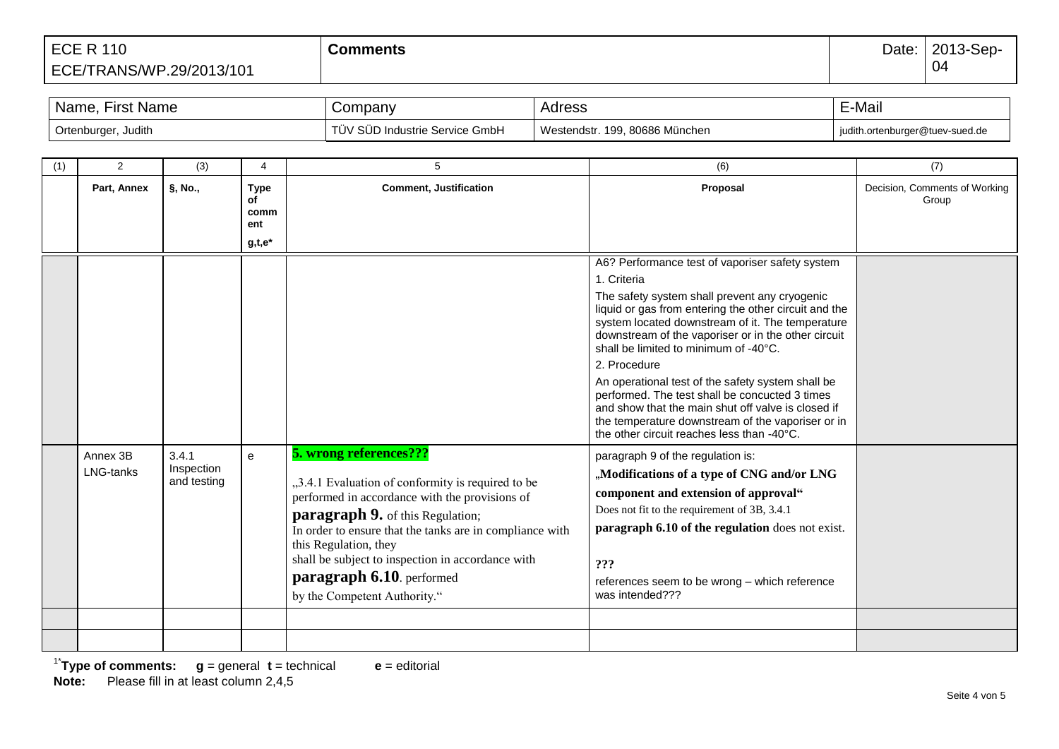| <b>First Name</b><br>Name. | Company                             | Adress                            | E-Mail                          |
|----------------------------|-------------------------------------|-----------------------------------|---------------------------------|
| Ortenburger, Judith        | V SUD Industrie Service GmbH<br>UV. | Westendstr.<br>199, 80686 München | judith.ortenburger@tuev-sued.de |

| (1) | $\overline{2}$        | (3)                                | $\overline{4}$                                | 5                                                                                                                                                                                                                                                                                                                                                                               | (6)                                                                                                                                                                                                                                                                                                                                                                                                                                                                                                                                                                                                          | (7)                                    |
|-----|-----------------------|------------------------------------|-----------------------------------------------|---------------------------------------------------------------------------------------------------------------------------------------------------------------------------------------------------------------------------------------------------------------------------------------------------------------------------------------------------------------------------------|--------------------------------------------------------------------------------------------------------------------------------------------------------------------------------------------------------------------------------------------------------------------------------------------------------------------------------------------------------------------------------------------------------------------------------------------------------------------------------------------------------------------------------------------------------------------------------------------------------------|----------------------------------------|
|     | Part, Annex           | §, No.,                            | <b>Type</b><br>of<br>comm<br>ent<br>$g,t,e^*$ | <b>Comment, Justification</b>                                                                                                                                                                                                                                                                                                                                                   | Proposal                                                                                                                                                                                                                                                                                                                                                                                                                                                                                                                                                                                                     | Decision, Comments of Working<br>Group |
|     |                       |                                    |                                               |                                                                                                                                                                                                                                                                                                                                                                                 | A6? Performance test of vaporiser safety system<br>1. Criteria<br>The safety system shall prevent any cryogenic<br>liquid or gas from entering the other circuit and the<br>system located downstream of it. The temperature<br>downstream of the vaporiser or in the other circuit<br>shall be limited to minimum of -40°C.<br>2. Procedure<br>An operational test of the safety system shall be<br>performed. The test shall be concucted 3 times<br>and show that the main shut off valve is closed if<br>the temperature downstream of the vaporiser or in<br>the other circuit reaches less than -40°C. |                                        |
|     | Annex 3B<br>LNG-tanks | 3.4.1<br>Inspection<br>and testing | e                                             | 5. wrong references???<br>"3.4.1 Evaluation of conformity is required to be<br>performed in accordance with the provisions of<br><b>paragraph 9.</b> of this Regulation;<br>In order to ensure that the tanks are in compliance with<br>this Regulation, they<br>shall be subject to inspection in accordance with<br>paragraph 6.10. performed<br>by the Competent Authority." | paragraph 9 of the regulation is:<br>"Modifications of a type of CNG and/or LNG<br>component and extension of approval"<br>Does not fit to the requirement of 3B, 3.4.1<br>paragraph 6.10 of the regulation does not exist.<br>???<br>references seem to be wrong - which reference<br>was intended???                                                                                                                                                                                                                                                                                                       |                                        |
|     |                       |                                    |                                               |                                                                                                                                                                                                                                                                                                                                                                                 |                                                                                                                                                                                                                                                                                                                                                                                                                                                                                                                                                                                                              |                                        |